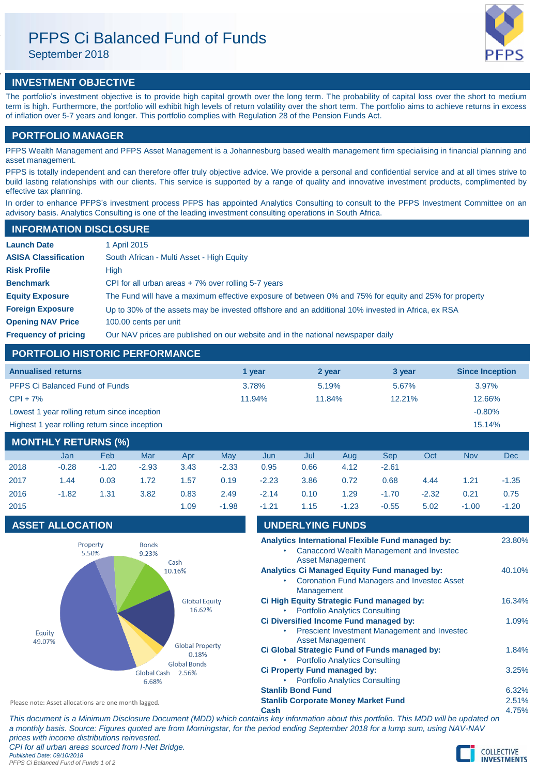# PFPS Ci Balanced Fund of Funds

September 2018

# **INVESTMENT OBJECTIVE**

The portfolio's investment objective is to provide high capital growth over the long term. The probability of capital loss over the short to medium term is high. Furthermore, the portfolio will exhibit high levels of return volatility over the short term. The portfolio aims to achieve returns in excess of inflation over 5-7 years and longer. This portfolio complies with Regulation 28 of the Pension Funds Act.

# **PORTFOLIO MANAGER**

PFPS Wealth Management and PFPS Asset Management is a Johannesburg based wealth management firm specialising in financial planning and asset management.

PFPS is totally independent and can therefore offer truly objective advice. We provide a personal and confidential service and at all times strive to build lasting relationships with our clients. This service is supported by a range of quality and innovative investment products, complimented by effective tax planning.

In order to enhance PFPS's investment process PFPS has appointed Analytics Consulting to consult to the PFPS Investment Committee on an advisory basis. Analytics Consulting is one of the leading investment consulting operations in South Africa.

# **INFORMATION DISCLOSURE**

| <b>Launch Date</b>          | 1 April 2015                                                                                          |
|-----------------------------|-------------------------------------------------------------------------------------------------------|
| <b>ASISA Classification</b> | South African - Multi Asset - High Equity                                                             |
| <b>Risk Profile</b>         | High                                                                                                  |
| <b>Benchmark</b>            | CPI for all urban areas $+7\%$ over rolling 5-7 years                                                 |
| <b>Equity Exposure</b>      | The Fund will have a maximum effective exposure of between 0% and 75% for equity and 25% for property |
| <b>Foreign Exposure</b>     | Up to 30% of the assets may be invested offshore and an additional 10% invested in Africa, ex RSA     |
| <b>Opening NAV Price</b>    | 100.00 cents per unit                                                                                 |
| <b>Frequency of pricing</b> | Our NAV prices are published on our website and in the national newspaper daily                       |

# **PORTFOLIO HISTORIC PERFORMANCE**

| <b>Annualised returns</b>                                                                                                                                                                                       | 1 vear | 2 year | 3 year | <b>Since Inception</b> |
|-----------------------------------------------------------------------------------------------------------------------------------------------------------------------------------------------------------------|--------|--------|--------|------------------------|
| <b>PFPS Ci Balanced Fund of Funds</b>                                                                                                                                                                           | 3.78%  | 5.19%  | 5.67%  | $3.97\%$               |
| $CPI + 7%$                                                                                                                                                                                                      | 11.94% | 11.84% | 12.21% | 12.66%                 |
| Lowest 1 year rolling return since inception                                                                                                                                                                    |        |        |        | $-0.80%$               |
| Highest 1 year rolling return since inception                                                                                                                                                                   |        |        |        | 15.14%                 |
| $\mathbf{1}$ $\mathbf{2}$ $\mathbf{3}$ $\mathbf{3}$ $\mathbf{4}$ $\mathbf{5}$ $\mathbf{5}$ $\mathbf{5}$ $\mathbf{5}$ $\mathbf{1}$ $\mathbf{5}$ $\mathbf{1}$ $\mathbf{2}$ $\mathbf{3}$ $\mathbf{1}$ $\mathbf{1}$ |        |        |        |                        |

| <b>MONTHLY RETURNS (%)</b> |         |         |         |      |         |         |      |         |            |         |            |            |
|----------------------------|---------|---------|---------|------|---------|---------|------|---------|------------|---------|------------|------------|
|                            | Jan     | Feb     | Mar     | Apr  | Mav     | Jun     | Jul  | Aua     | <b>Sep</b> | Oct     | <b>Nov</b> | <b>Dec</b> |
| 2018                       | $-0.28$ | $-1.20$ | $-2.93$ | 3.43 | $-2.33$ | 0.95    | 0.66 | 4.12    | $-2.61$    |         |            |            |
| 2017                       | 1.44    | 0.03    | 1.72    | 1.57 | 0.19    | $-2.23$ | 3.86 | 0.72    | 0.68       | 4.44    | 1.21       | $-1.35$    |
| 2016                       | $-1.82$ | 1.31    | 3.82    | 0.83 | 2.49    | $-2.14$ | 0.10 | 1.29    | $-1.70$    | $-2.32$ | 0.21       | 0.75       |
| 2015                       |         |         |         | 1.09 | $-1.98$ | $-1.21$ | 1.15 | $-1.23$ | $-0.55$    | 5.02    | $-1.00$    | $-1.20$    |

# **ASSET ALLOCATION**



| $-1.21$                                                                | 1.15                    | $-1.23$                                                               | $-0.55$                                                                                                   | 5.02 | $-1.00$                                                                 | $-1.20$ |
|------------------------------------------------------------------------|-------------------------|-----------------------------------------------------------------------|-----------------------------------------------------------------------------------------------------------|------|-------------------------------------------------------------------------|---------|
|                                                                        | <b>UNDERLYING FUNDS</b> |                                                                       |                                                                                                           |      |                                                                         |         |
|                                                                        |                         | <b>Asset Management</b>                                               | Analytics International Flexible Fund managed by:<br>Canaccord Wealth Management and Investec             |      |                                                                         | 23.80%  |
|                                                                        | Management              |                                                                       | <b>Analytics Ci Managed Equity Fund managed by:</b><br><b>Coronation Fund Managers and Investec Asset</b> |      |                                                                         | 40.10%  |
|                                                                        |                         | <b>Portfolio Analytics Consulting</b>                                 | Ci High Equity Strategic Fund managed by:                                                                 |      |                                                                         | 16.34%  |
|                                                                        |                         | <b>Asset Management</b>                                               | Ci Diversified Income Fund managed by:<br>Prescient Investment Management and Investec                    |      |                                                                         | 1.09%   |
|                                                                        |                         | <b>Portfolio Analytics Consulting</b>                                 | Ci Global Strategic Fund of Funds managed by:                                                             |      |                                                                         | 1.84%   |
|                                                                        |                         | Ci Property Fund managed by:<br><b>Portfolio Analytics Consulting</b> |                                                                                                           |      |                                                                         | 3.25%   |
| <b>Stanlib Bond Fund</b><br><b>Stanlib Corporate Money Market Fund</b> |                         |                                                                       |                                                                                                           |      |                                                                         |         |
| Cash                                                                   |                         |                                                                       |                                                                                                           |      | tains key information about this portfolio. This MDD will be undated on | 4.75%   |

Please note: Asset allocations are one month lagged.

*This document is a Minimum Disclosure Document (MDD) which contains key information about this portfolio. This MDD will be updated on a monthly basis. Source: Figures quoted are from Morningstar, for the period ending September 2018 for a lump sum, using NAV-NAV prices with income distributions reinvested. CPI for all urban areas sourced from I-Net Bridge. Published Date: 09/10/2018 PFPS Ci Balanced Fund of Funds 1 of 2*